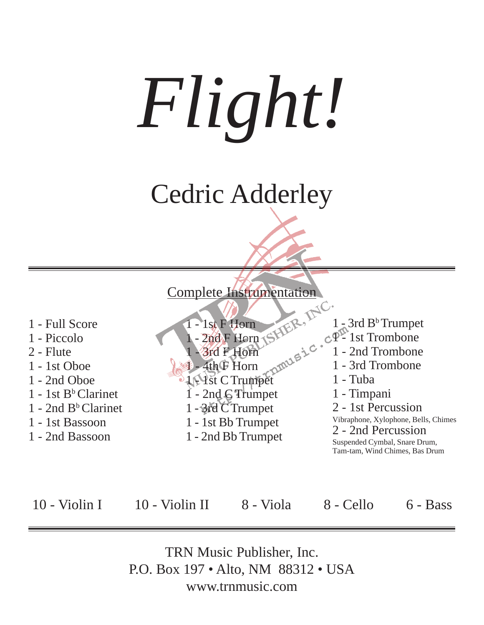*Flight!*

# Cedric Adderley



TRN Music Publisher, Inc. P.O. Box 197 • Alto, NM 88312 • USA www.trnmusic.com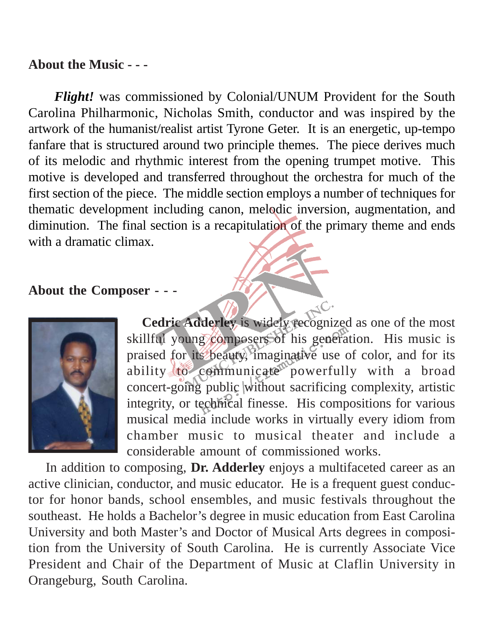### **About the Music - - -**

 *Flight!* was commissioned by Colonial/UNUM Provident for the South Carolina Philharmonic, Nicholas Smith, conductor and was inspired by the artwork of the humanist/realist artist Tyrone Geter. It is an energetic, up-tempo fanfare that is structured around two principle themes. The piece derives much of its melodic and rhythmic interest from the opening trumpet motive. This motive is developed and transferred throughout the orchestra for much of the first section of the piece. The middle section employs a number of techniques for thematic development including canon, melodic inversion, augmentation, and diminution. The final section is a recapitulation of the primary theme and ends with a dramatic climax.

#### **About the Composer - - -**



Cedric Adderley is widely recognized as one of the most skillful young composers of his generation. His music is praised for its beauty, imaginative use of color, and for its ability to communicate<sup>m</sup> powerfully with a broad concert-going public without sacrificing complexity, artistic integrity, or technical finesse. His compositions for various musical media include works in virtually every idiom from chamber music to musical theater and include a considerable amount of commissioned works.

JC.

 In addition to composing, **Dr. Adderley** enjoys a multifaceted career as an active clinician, conductor, and music educator. He is a frequent guest conductor for honor bands, school ensembles, and music festivals throughout the southeast. He holds a Bachelor's degree in music education from East Carolina University and both Master's and Doctor of Musical Arts degrees in composition from the University of South Carolina. He is currently Associate Vice President and Chair of the Department of Music at Claflin University in Orangeburg, South Carolina.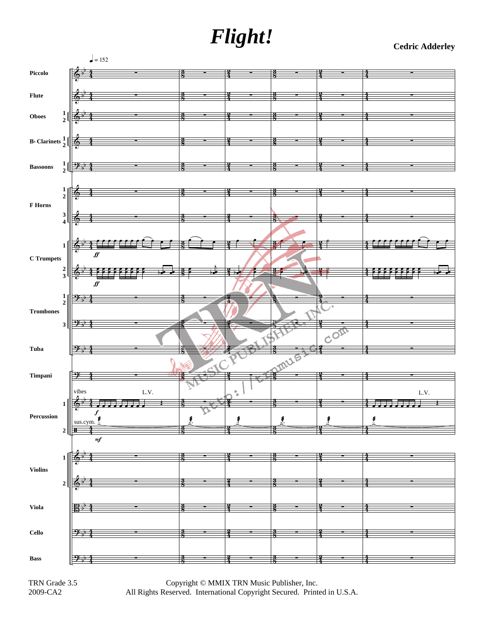## *Flight!* **Cedric Adderley**



TRN Grade 3.5 2009-CA2

Copyright © MMIX TRN Music Publisher, Inc. All Rights Reserved. International Copyright Secured. Printed in U.S.A.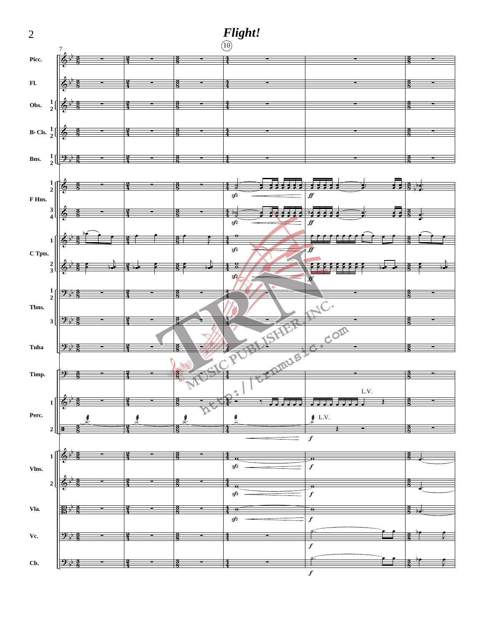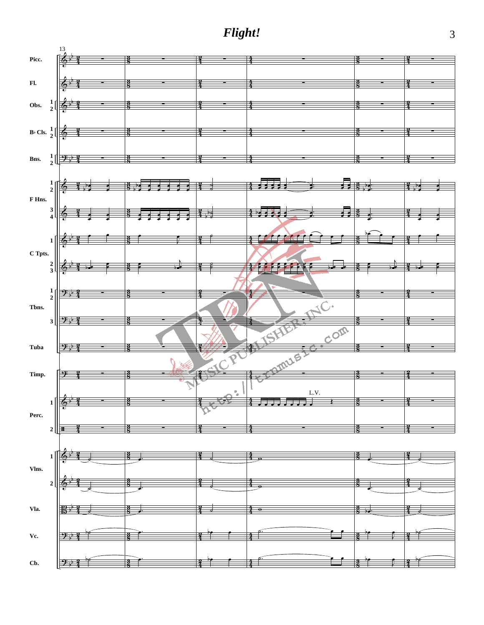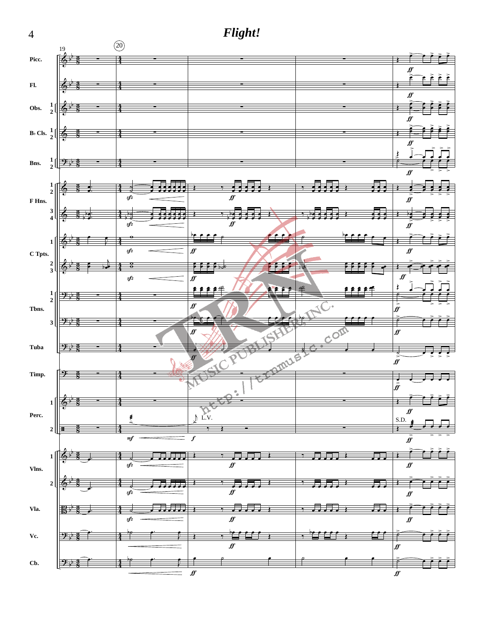

 $\overline{4}$ 

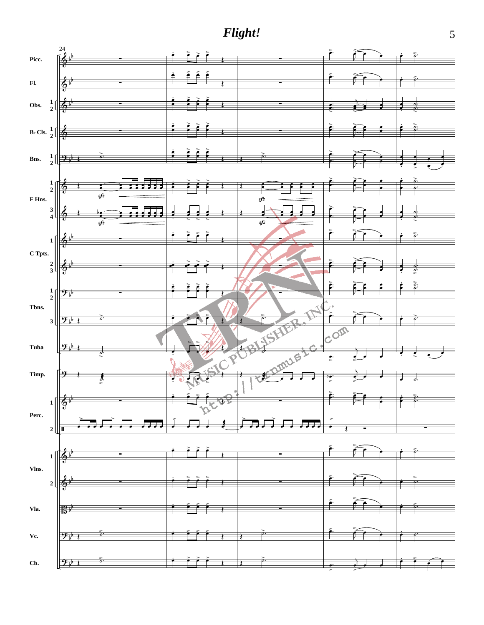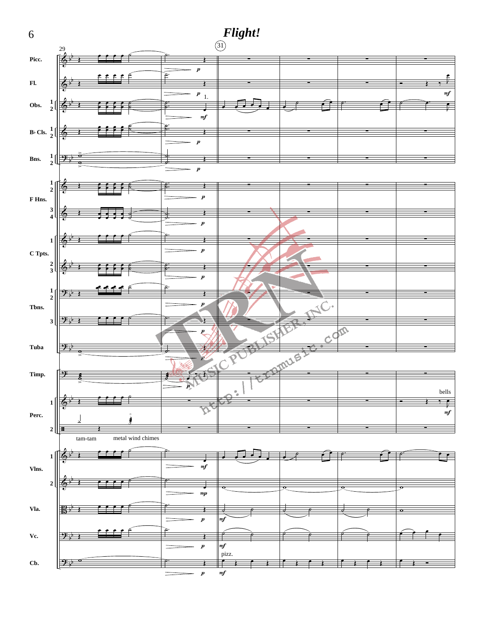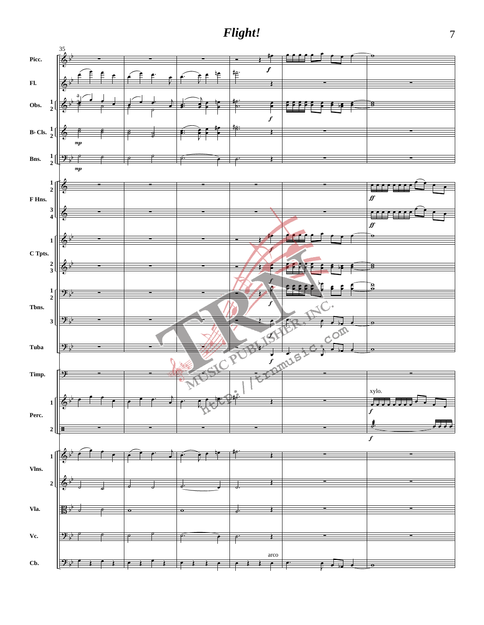

 $\overline{7}$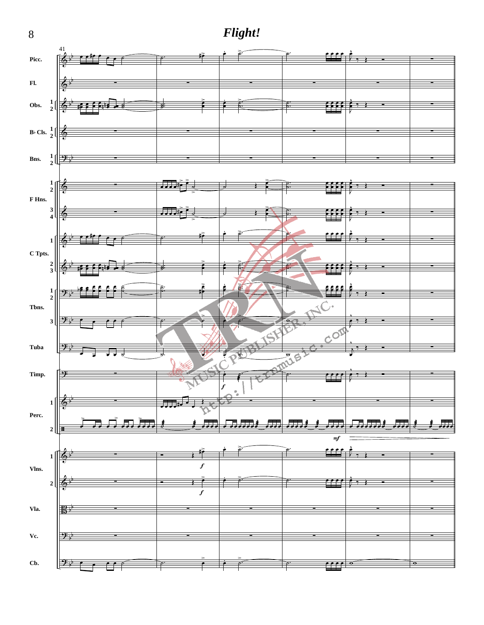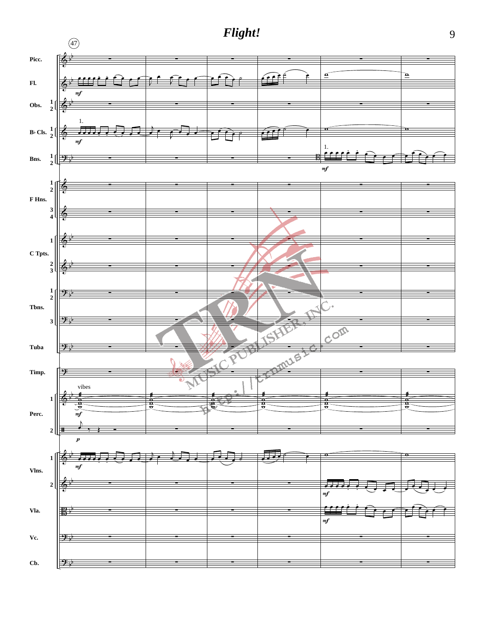

9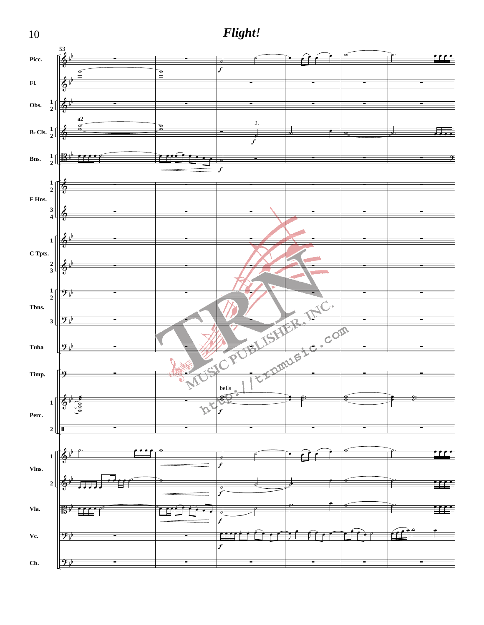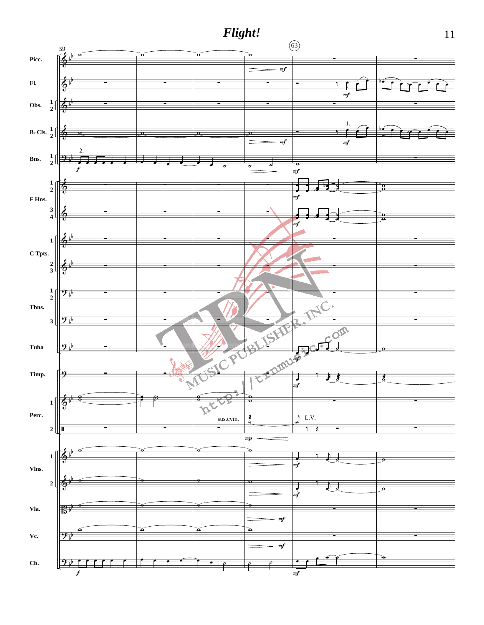

 $11\,$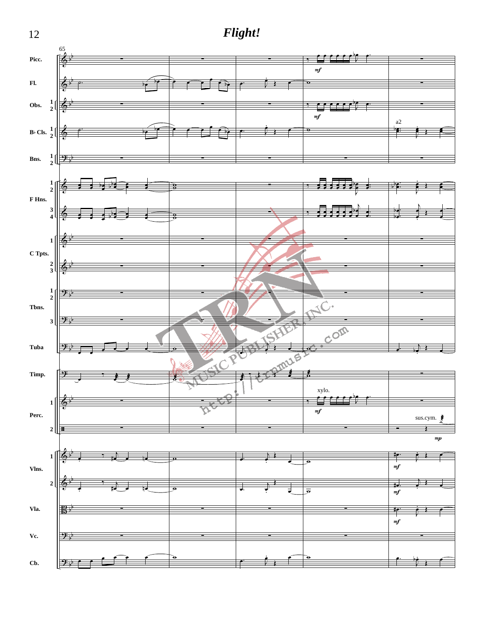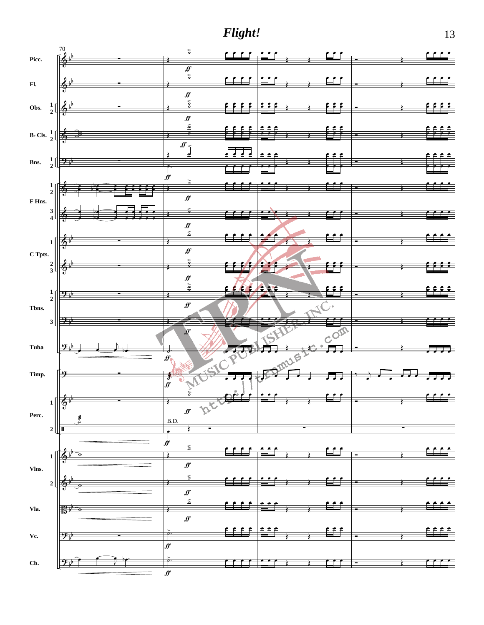

13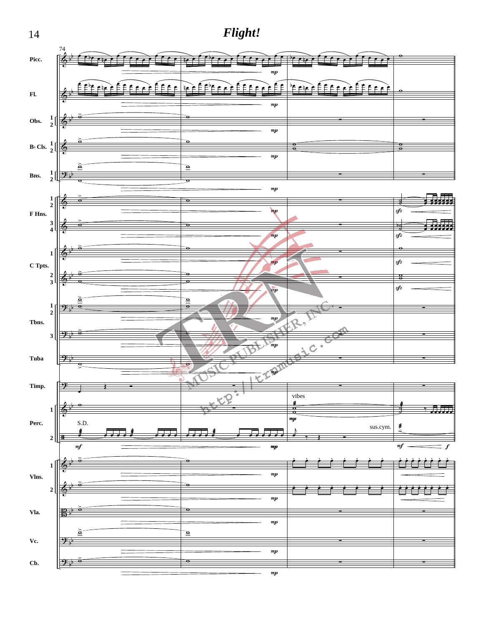

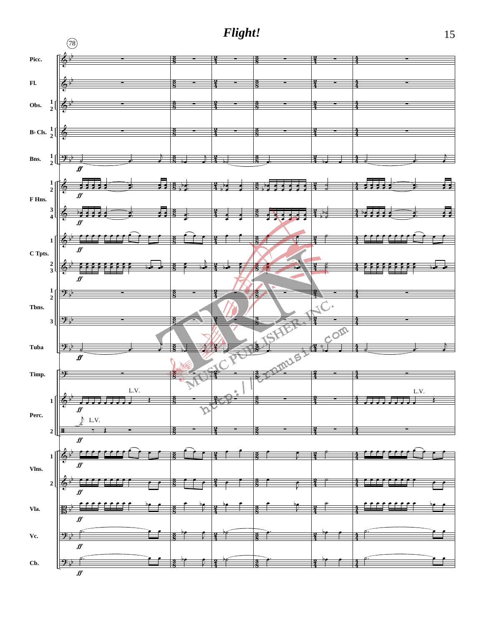

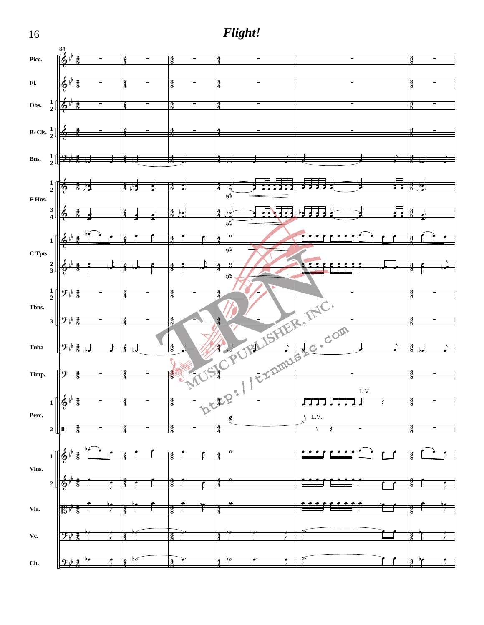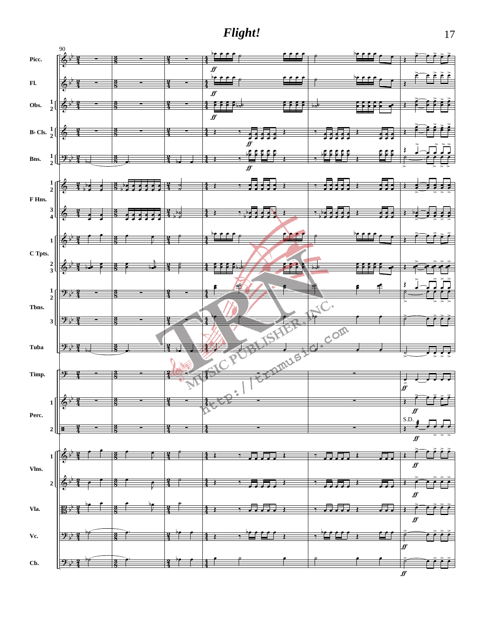

 $f\hspace{-0.1cm}f$